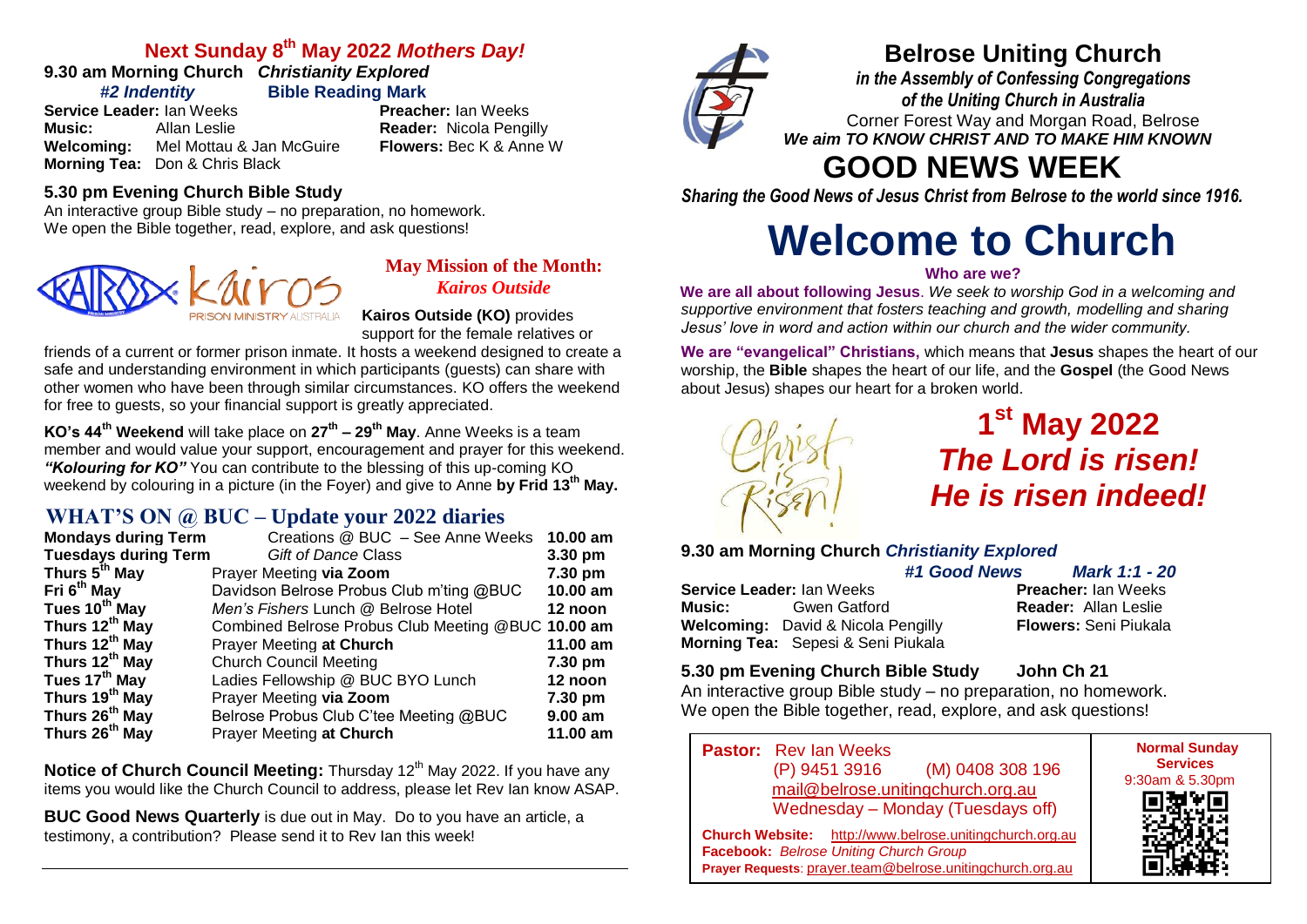#### **Next Sunday 8 th May 2022** *Mothers Day!*

**9.30 am Morning Church** *Christianity Explored*

*#2 Indentity* **Bible Reading Mark** 

**Service Leader:** Ian Weeks **Preacher:** Ian Weeks **Music:** Allan Leslie **Reader:** Nicola Pengilly<br>**Welcoming:** Mel Mottau & Jan McGuire **Richers:** Bec K & Anne W **Welcoming:** Mel Mottau & Jan McGuire **Morning Tea:** Don & Chris Black

#### **5.30 pm Evening Church Bible Study**

An interactive group Bible study – no preparation, no homework. We open the Bible together, read, explore, and ask questions!



#### **May Mission of the Month:** *Kairos Outside*

**Kairos Outside (KO)** provides support for the female relatives or

friends of a current or former prison inmate. It hosts a weekend designed to create a safe and understanding environment in which participants (guests) can share with other women who have been through similar circumstances. KO offers the weekend for free to guests, so your financial support is greatly appreciated.

**KO's 44th Weekend** will take place on **27th – 29th May**. Anne Weeks is a team member and would value your support, encouragement and prayer for this weekend. *"Kolouring for KO"* You can contribute to the blessing of this up-coming KO weekend by colouring in a picture (in the Foyer) and give to Anne **by Frid 13th May.**

#### **WHAT'S ON @ BUC – Update your 2022 diaries**

| <b>Mondays during Term</b>  | Creations @ BUC - See Anne Weeks                   | $10.00$ am |
|-----------------------------|----------------------------------------------------|------------|
| <b>Tuesdays during Term</b> | Gift of Dance Class                                | 3.30 pm    |
| Thurs 5 <sup>th</sup> May   | Prayer Meeting via Zoom                            | 7.30 pm    |
| Fri 6 <sup>th</sup> May     | Davidson Belrose Probus Club m'ting @BUC           | 10.00 am   |
| Tues 10 <sup>th</sup> May   | Men's Fishers Lunch @ Belrose Hotel                | 12 noon    |
| Thurs 12 <sup>th</sup> May  | Combined Belrose Probus Club Meeting @BUC 10.00 am |            |
| Thurs 12 <sup>th</sup> May  | Prayer Meeting at Church                           | 11.00 am   |
| Thurs 12th May              | <b>Church Council Meeting</b>                      | 7.30 pm    |
| Tues 17 <sup>th</sup> May   | Ladies Fellowship @ BUC BYO Lunch                  | 12 noon    |
| Thurs 19 <sup>th</sup> May  | Prayer Meeting via Zoom                            | 7.30 pm    |
| Thurs 26 <sup>th</sup> May  | Belrose Probus Club C'tee Meeting @BUC             | $9.00$ am  |
| Thurs 26 <sup>th</sup> May  | Prayer Meeting at Church                           | 11.00 am   |

**Notice of Church Council Meeting:** Thursday 12<sup>th</sup> May 2022. If you have any items you would like the Church Council to address, please let Rev Ian know ASAP.

**BUC Good News Quarterly** is due out in May. Do to you have an article, a testimony, a contribution? Please send it to Rev Ian this week!



### **Belrose Uniting Church**

*in the Assembly of Confessing Congregations of the Uniting Church in Australia* Corner Forest Way and Morgan Road, Belrose *We aim TO KNOW CHRIST AND TO MAKE HIM KNOWN*

## **GOOD NEWS WEEK**

*Sharing the Good News of Jesus Christ from Belrose to the world since 1916.*

# **Welcome to Church**

#### **Who are we?**

**We are all about following Jesus**. *We seek to worship God in a welcoming and supportive environment that fosters teaching and growth, modelling and sharing Jesus' love in word and action within our church and the wider community.*

**We are "evangelical" Christians,** which means that **Jesus** shapes the heart of our worship, the **Bible** shapes the heart of our life, and the **Gospel** (the Good News about Jesus) shapes our heart for a broken world.



**Morning Tea:** Sepesi & Seni Piukala

## **1 st May 2022** *The Lord is risen! He is risen indeed!*

#### **9.30 am Morning Church** *Christianity Explored*

**Service Leader:** Ian Weeks **Music:** Gwen Gatford **Reader:** Allan Leslie

*#1 Good News Mark 1:1 - 20* **Welcoming:** David & Nicola Pengilly **Flowers:** Seni Piukala

#### **5.30 pm Evening Church Bible Study John Ch 21**

An interactive group Bible study – no preparation, no homework. We open the Bible together, read, explore, and ask questions!

**Pastor:** Rev Ian Weeks (P) 9451 3916 (M) 0408 308 196 [mail@belrose.unitingchurch.org.au](mailto:mail@belrose.unitingchurch.org.au) Wednesday – Monday (Tuesdays off)